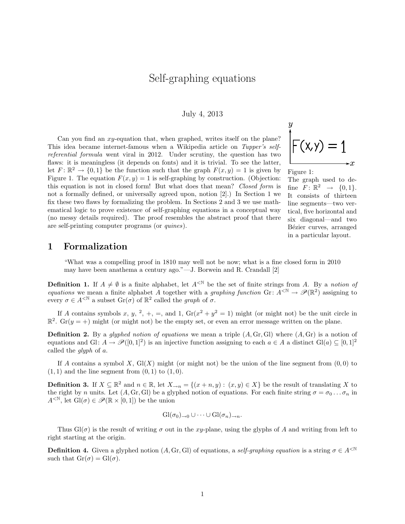# Self-graphing equations

#### July 4, 2013

Can you find an  $xy$ -equation that, when graphed, writes itself on the plane? This idea became internet-famous when a Wikipedia article on Tupper's selfreferential formula went viral in 2012. Under scrutiny, the question has two flaws: it is meaningless (it depends on fonts) and it is trivial. To see the latter, let  $F: \mathbb{R}^2 \to \{0,1\}$  be the function such that the graph  $F(x, y) = 1$  is given by Figure 1. The equation  $F(x, y) = 1$  is self-graphing by construction. (Objection: this equation is not in closed form! But what does that mean? Closed form is not a formally defined, or universally agreed upon, notion [2].) In Section 1 we fix these two flaws by formalizing the problem. In Sections 2 and 3 we use mathematical logic to prove existence of self-graphing equations in a conceptual way (no messy details required). The proof resembles the abstract proof that there are self-printing computer programs (or quines).



The graph used to define  $F: \mathbb{R}^2 \rightarrow \{0,1\}.$ It consists of thirteen line segments—two vertical, five horizontal and six diagonal—and two Bézier curves, arranged in a particular layout.

#### 1 Formalization

"What was a compelling proof in 1810 may well not be now; what is a fine closed form in 2010 may have been anathema a century ago."—J. Borwein and R. Crandall [2]

**Definition 1.** If  $A \neq \emptyset$  is a finite alphabet, let  $A^{\leq N}$  be the set of finite strings from A. By a notion of equations we mean a finite alphabet A together with a graphing function Gr:  $A^{<\mathbb{N}} \to \mathscr{P}(\mathbb{R}^2)$  assigning to every  $\sigma \in A^{\leq \mathbb{N}}$  a subset  $\text{Gr}(\sigma)$  of  $\mathbb{R}^2$  called the graph of  $\sigma$ .

If A contains symbols x, y, <sup>2</sup>, +, =, and 1,  $Gr(x^2 + y^2 = 1)$  might (or might not) be the unit circle in  $\mathbb{R}^2$ . Gr(y = +) might (or might not) be the empty set, or even an error message written on the plane.

**Definition 2.** By a *glyphed notion of equations* we mean a triple  $(A, Gr, Gl)$  where  $(A, Gr)$  is a notion of equations and Gl:  $A \to \mathcal{P}([0,1]^2)$  is an injective function assigning to each  $a \in A$  a distinct Gl(a)  $\subseteq [0,1]^2$ called the glyph of a.

If A contains a symbol X,  $Gl(X)$  might (or might not) be the union of the line segment from  $(0,0)$  to  $(1, 1)$  and the line segment from  $(0, 1)$  to  $(1, 0)$ .

**Definition 3.** If  $X \subseteq \mathbb{R}^2$  and  $n \in \mathbb{R}$ , let  $X \rightarrow n = \{(x + n, y) : (x, y) \in X\}$  be the result of translating X to the right by n units. Let  $(A, Gr, Gl)$  be a glyphed notion of equations. For each finite string  $\sigma = \sigma_0 \dots \sigma_n$  in  $A^{\langle \mathbb{N} \rangle}$ , let  $\mathrm{Gl}(\sigma) \in \mathscr{P}(\mathbb{R} \times [0,1])$  be the union

$$
Gl(\sigma_0)_{\to 0} \cup \cdots \cup Gl(\sigma_n)_{\to n}.
$$

Thus  $Gl(\sigma)$  is the result of writing  $\sigma$  out in the xy-plane, using the glyphs of A and writing from left to right starting at the origin.

**Definition 4.** Given a glyphed notion  $(A, Gr, Gl)$  of equations, a self-graphing equation is a string  $\sigma \in A^{\leq N}$ such that  $\text{Gr}(\sigma) = \text{Gl}(\sigma)$ .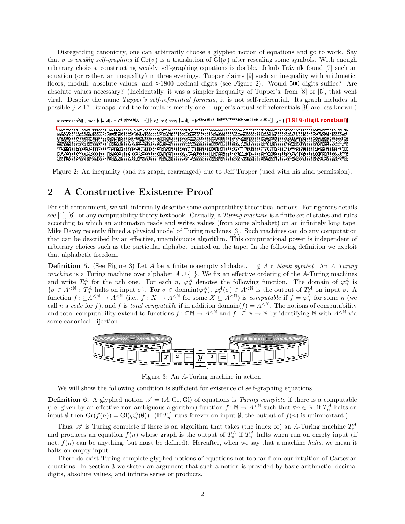Disregarding canonicity, one can arbitrarily choose a glyphed notion of equations and go to work. Say that  $\sigma$  is weakly self-graphing if  $Gr(\sigma)$  is a translation of  $Gl(\sigma)$  after rescaling some symbols. With enough arbitrary choices, constructing weakly self-graphing equations is doable. Jakub Trávník found [7] such an equation (or rather, an inequality) in three evenings. Tupper claims [9] such an inequality with arithmetic, floors, moduli, absolute values, and ≈1800 decimal digits (see Figure 2). Would 500 digits suffice? Are absolute values necessary? (Incidentally, it was a simpler inequality of Tupper's, from [8] or [5], that went viral. Despite the name Tupper's self-referential formula, it is not self-referential. Its graph includes all possible  $j \times 17$  bitmaps, and the formula is merely one. Tupper's actual self-referentials [9] are less known.)



Figure 2: An inequality (and its graph, rearranged) due to Jeff Tupper (used with his kind permission).

## 2 A Constructive Existence Proof

For self-containment, we will informally describe some computability theoretical notions. For rigorous details see  $[1]$ ,  $[6]$ , or any computability theory textbook. Casually, a Turing machine is a finite set of states and rules according to which an automaton reads and writes values (from some alphabet) on an infinitely long tape. Mike Davey recently filmed a physical model of Turing machines [3]. Such machines can do any computation that can be described by an effective, unambiguous algorithm. This computational power is independent of arbitrary choices such as the particular alphabet printed on the tape. In the following definition we exploit that alphabetic freedom.

**Definition 5.** (See Figure 3) Let A be a finite nonempty alphabet,  $\subseteq \notin A$  a blank symbol. An A-Turing machine is a Turing machine over alphabet  $A \cup \{\_ \}$ . We fix an effective ordering of the A-Turing machines and write  $T_n^A$  for the nth one. For each n,  $\varphi_n^A$  denotes the following function. The domain of  $\varphi_n^A$  is  $\{\sigma \in A^{\leq N} : T_n^A \text{ halts on input } \sigma\}.$  For  $\sigma \in \text{domain}(\varphi_n^A), \varphi_n^A(\sigma) \in A^{\leq N}$  is the output of  $T_n^A$  on input  $\sigma$ . A function  $f: \subseteq A^{< N} \to A^{< N}$  (i.e.,  $f: X \to A^{< N}$  for some  $X \subseteq A^{< N}$ ) is *computable* if  $f = \varphi_n^A$  for some n (we call n a code for f), and f is total computable if in addition domain $(f) = A^{<\mathbb{N}}$ . The notions of computability and total computability extend to functions  $f: \subseteq \mathbb{N} \to A^{\leq \mathbb{N}}$  and  $f: \subseteq \mathbb{N} \to \mathbb{N}$  by identifying  $\mathbb{N}$  with  $A^{\leq \mathbb{N}}$  via some canonical bijection.



Figure 3: An A-Turing machine in action.

We will show the following condition is sufficient for existence of self-graphing equations.

**Definition 6.** A glyphed notion  $\mathscr{A} = (A, Gr, Gl)$  of equations is Turing complete if there is a computable (i.e. given by an effective non-ambiguous algorithm) function  $f: \mathbb{N} \to A^{\leq \mathbb{N}}$  such that  $\forall n \in \mathbb{N}$ , if  $T_n^A$  halts on input  $\emptyset$  then  $\mathrm{Gr}(f(n)) = \mathrm{Gl}(\varphi_n^A(\emptyset))$ . (If  $T_n^A$  runs forever on input  $\emptyset$ , the output of  $f(n)$  is unimportant.)

Thus,  $\mathscr A$  is Turing complete if there is an algorithm that takes (the index of) an A-Turing machine  $T_n^A$  and produces an equation  $f(n)$  whose graph is the output of  $T_n^A$  if  $T_n^A$  halts when run on empty input (if not,  $f(n)$  can be anything, but must be defined). Hereafter, when we say that a machine halts, we mean it halts on empty input.

There do exist Turing complete glyphed notions of equations not too far from our intuition of Cartesian equations. In Section 3 we sketch an argument that such a notion is provided by basic arithmetic, decimal digits, absolute values, and infinite series or products.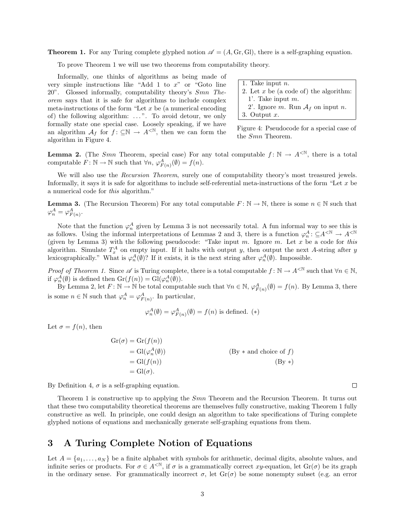**Theorem 1.** For any Turing complete glyphed notion  $\mathscr{A} = (A, Gr, Gl)$ , there is a self-graphing equation.

To prove Theorem 1 we will use two theorems from computability theory.

Informally, one thinks of algorithms as being made of very simple instructions like "Add 1 to  $x$ " or "Goto line 20". Glossed informally, computability theory's Smn Theorem says that it is safe for algorithms to include complex meta-instructions of the form "Let  $x$  be (a numerical encoding of) the following algorithm: ...". To avoid detour, we only formally state one special case. Loosely speaking, if we have an algorithm  $\mathcal{A}_f$  for  $f: \subseteq \mathbb{N} \to A^{\leq \mathbb{N}}$ , then we can form the algorithm in Figure 4.

| 1. Take input $n$ .                      |
|------------------------------------------|
| 2. Let $x$ be (a code of) the algorithm: |
| 1'. Take input $m$ .                     |
| 2'. Ignore m. Run $A_f$ on input n.      |
| 3. Output $x$ .                          |

Figure 4: Pseudocode for a special case of the Smn Theorem.

 $\Box$ 

**Lemma 2.** (The Smn Theorem, special case) For any total computable  $f: \mathbb{N} \to A^{\leq \mathbb{N}}$ , there is a total computable  $F: \mathbb{N} \to \mathbb{N}$  such that  $\forall n, \varphi_{F(n)}^A(\emptyset) = f(n)$ .

We will also use the Recursion Theorem, surely one of computability theory's most treasured jewels. Informally, it says it is safe for algorithms to include self-referential meta-instructions of the form "Let  $x$  be a numerical code for this algorithm."

**Lemma 3.** (The Recursion Theorem) For any total computable  $F: \mathbb{N} \to \mathbb{N}$ , there is some  $n \in \mathbb{N}$  such that  $\varphi_n^A = \varphi_{F(n)}^A$ .

Note that the function  $\varphi_n^A$  given by Lemma 3 is not necessarily total. A fun informal way to see this is as follows. Using the informal interpretations of Lemmas 2 and 3, there is a function  $\varphi_n^A: \subseteq A^{< \mathbb{N}} \to A^{< \mathbb{N}}$ (given by Lemma 3) with the following pseudocode: "Take input m. Ignore m. Let x be a code for this algorithm. Simulate  $T_x^A$  on empty input. If it halts with output y, then output the next A-string after y lexicographically." What is  $\varphi_n^A(\emptyset)$ ? If it exists, it is the next string after  $\varphi_n^A(\emptyset)$ . Impossible.

Proof of Theorem 1. Since  $\mathscr A$  is Turing complete, there is a total computable  $f: \mathbb N \to A^{\leq \mathbb N}$  such that  $\forall n \in \mathbb N$ , if  $\varphi_n^A(\emptyset)$  is defined then  $\mathrm{Gr}(f(n)) = \mathrm{Gl}(\varphi_n^A(\emptyset))$ .

By Lemma 2, let  $F: \mathbb{N} \to \mathbb{N}$  be total computable such that  $\forall n \in \mathbb{N}, \varphi_{F(n)}^A(\emptyset) = f(n)$ . By Lemma 3, there is some  $n \in \mathbb{N}$  such that  $\varphi_n^A = \varphi_{F(n)}^A$ . In particular,

$$
\varphi_n^A(\emptyset) = \varphi_{F(n)}^A(\emptyset) = f(n)
$$
 is defined. (\*)

Let  $\sigma = f(n)$ , then

$$
Gr(\sigma) = Gr(f(n))
$$
  
= 
$$
Gl(\varphi_n^A(\emptyset))
$$
  
= 
$$
Gl(f(n))
$$
  
= 
$$
Gl(\sigma).
$$
  
(By \* and choice of f)  
(By \*)  
(By \*)

By Definition 4,  $\sigma$  is a self-graphing equation.

Theorem 1 is constructive up to applying the *Smn* Theorem and the Recursion Theorem. It turns out that these two computability theoretical theorems are themselves fully constructive, making Theorem 1 fully constructive as well. In principle, one could design an algorithm to take specifications of Turing complete glyphed notions of equations and mechanically generate self-graphing equations from them.

## 3 A Turing Complete Notion of Equations

Let  $A = \{a_1, \ldots, a_N\}$  be a finite alphabet with symbols for arithmetic, decimal digits, absolute values, and infinite series or products. For  $\sigma \in A^{\leq N}$ , if  $\sigma$  is a grammatically correct xy-equation, let  $\text{Gr}(\sigma)$  be its graph in the ordinary sense. For grammatically incorrect  $\sigma$ , let  $Gr(\sigma)$  be some nonempty subset (e.g. an error